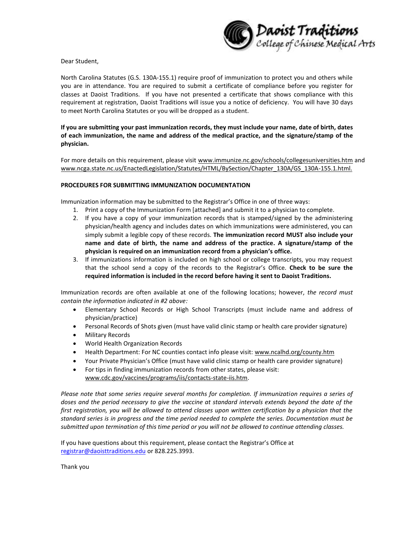

Dear Student,

North Carolina Statutes (G.S. 130A-155.1) require proof of immunization to protect you and others while you are in attendance. You are required to submit a certificate of compliance before you register for classes at Daoist Traditions. If you have not presented a certificate that shows compliance with this requirement at registration, Daoist Traditions will issue you a notice of deficiency. You will have 30 days to meet North Carolina Statutes or you will be dropped as a student.

# **If you are submitting your past immunization records, they must include your name, date of birth, dates of each immunization, the name and address of the medical practice, and the signature/stamp of the physician.**

For more details on this requirement, please visit [www.immunize.nc.gov/schools/collegesuniversities.htm](http://www.immunize.nc.gov/schools/collegesuniversities.htm) and www.ncga.state.nc.us/EnactedLegislation/Statutes/HTML/BySection/Chapter\_130A/GS\_130A-155.1.html.

# **PROCEDURES FOR SUBMITTING IMMUNIZATION DOCUMENTATION**

Immunization information may be submitted to the Registrar's Office in one of three ways:

- 1. Print a copy of the Immunization Form [attached] and submit it to a physician to complete.
- 2. If you have a copy of your immunization records that is stamped/signed by the administering physician/health agency and includes dates on which immunizations were administered, you can simply submit a legible copy of these records. **The immunization record MUST also include your name and date of birth, the name and address of the practice. A signature/stamp of the physician is required on an immunization record from a physician's office.**
- 3. If immunizations information is included on high school or college transcripts, you may request that the school send a copy of the records to the Registrar's Office. **Check to be sure the required information is included in the record before having it sent to Daoist Traditions.**

Immunization records are often available at one of the following locations; however, *the record must contain the information indicated in #2 above:* 

- Elementary School Records or High School Transcripts (must include name and address of physician/practice)
- Personal Records of Shots given (must have valid clinic stamp or health care provider signature)
- Military Records
- World Health Organization Records
- Health Department: For NC counties contact info please visit: www.ncalhd.org/county.htm
- Your Private Physician's Office (must have valid clinic stamp or health care provider signature)
- For tips in finding immunization records from other states, please visit: www.cdc.gov/vaccines/programs/iis/contacts-state-iis.htm.

*Please note that some series require several months for completion. If immunization requires a series of doses and the period necessary to give the vaccine at standard intervals extends beyond the date of the first registration, you will be allowed to attend classes upon written certification by a physician that the standard series is in progress and the time period needed to complete the series. Documentation must be submitted upon termination of this time period or you will not be allowed to continue attending classes.*

If you have questions about this requirement, please contact the Registrar's Office at [registrar@daoisttraditions.edu](mailto:registrar@daoisttraditions.edu) or 828.225.3993.

Thank you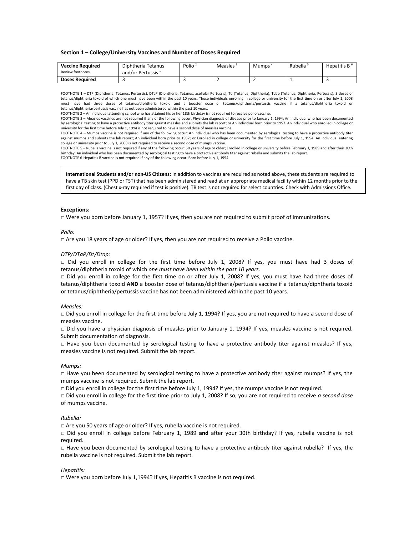## **Section 1 – College/University Vaccines and Number of Doses Required**

| <b>Vaccine Required</b><br>Review footnotes | Diphtheria Tetanus<br>and/or Pertussis <sup>+</sup> | Polio <sup>3</sup> | Measles f | Mumps i | Rubella | Hepatitis B <sup>+</sup> |
|---------------------------------------------|-----------------------------------------------------|--------------------|-----------|---------|---------|--------------------------|
| <b>Doses Required</b>                       |                                                     |                    |           |         |         |                          |

FOOTNOTE 1 – DTP (Diphtheria, Tetanus, Pertussis), DTaP (Diphtheria, Tetanus, acellular Pertussis), Td (Tetanus, Diphtheria), Tdap (Tetanus, Diphtheria, Pertussis): 3 doses of tetanus/diphtheria toxoid of which one must have been within the past 10 years. Those individuals enrolling in college or university for the first time on or after July 1, 2008 must have had three doses of tetanus/diphtheria toxoid and a booster dose of tetanus/diphtheria/pertussis vaccine if a tetanus/diphtheria toxoid or tetanus/diphtheria/pertussis vaccine has not been administered within the past 10 years.

FOOTNOTE 2 – An individual attending school who has attained his or her 18th birthday is not required to receive polio vaccine.

FOOTNOTE 3 – Measles vaccines are not required if any of the following occur: Physician diagnosis of disease prior to January 1, 1994; An individual who has been documented by serological testing to have a protective antibody titer against measles and submits the lab report; or An individual born prior to 1957. An individual who enrolled in college or university for the first time before July 1, 1994 is not required to have a second dose of measles vaccine.

FOOTNOTE 4 – Mumps vaccine is not required if any of the following occur: An individual who has been documented by serological testing to have a protective antibody titer against mumps and submits the lab report; An individual born prior to 1957; or Enrolled in college or university for the first time before July 1, 1994. An individual entering college or university prior to July 1, 2008 is not required to receive a second dose of mumps vaccine.

FOOTNOTE 5 – Rubella vaccine is not required if any of the following occur: 50 years of age or older; Enrolled in college or university before February 1, 1989 and after their 30th birthday; An individual who has been documented by serological testing to have a protective antibody titer against rubella and submits the lab report. FOOTNOTE 6-Hepatitis B vaccine is not required if any of the following occur: Born before July 1, 1994

**International Students and/or non-US Citizens:** In addition to vaccines are required as noted above, these students are required to have a TB skin test (PPD or TST) that has been administered and read at an appropriate medical facility within 12 months prior to the first day of class. (Chest x-ray required if test is positive). TB test is not required for select countries. Check with Admissions Office.

## **Exceptions:**

 $\Box$  Were you born before January 1, 1957? If yes, then you are not required to submit proof of immunizations.

## *Polio:*

□ Are you 18 years of age or older? If yes, then you are not required to receive a Polio vaccine.

## *DTP/DTaP/Dt/Dtap:*

□ Did you enroll in college for the first time before July 1, 2008? If yes, you must have had 3 doses of tetanus/diphtheria toxoid of which *one must have been within the past 10 years.*

□ Did you enroll in college for the first time on or after July 1, 2008? If yes, you must have had three doses of tetanus/diphtheria toxoid **AND** a booster dose of tetanus/diphtheria/pertussis vaccine if a tetanus/diphtheria toxoid or tetanus/diphtheria/pertussis vaccine has not been administered within the past 10 years.

#### *Measles:*

□ Did you enroll in college for the first time before July 1, 1994? If yes, you are not required to have a second dose of measles vaccine.

□ Did you have a physician diagnosis of measles prior to January 1, 1994? If yes, measles vaccine is not required. Submit documentation of diagnosis.

□ Have you been documented by serological testing to have a protective antibody titer against measles? If yes, measles vaccine is not required. Submit the lab report.

#### *Mumps:*

 $\Box$  Have you been documented by serological testing to have a protective antibody titer against mumps? If yes, the mumps vaccine is not required. Submit the lab report.

 $\Box$  Did you enroll in college for the first time before July 1, 1994? If yes, the mumps vaccine is not required.

□ Did you enroll in college for the first time prior to July 1, 2008? If so, you are not required to receive *a second dose* of mumps vaccine.

### *Rubella:*

 $\Box$  Are you 50 years of age or older? If yes, rubella vaccine is not required.

□ Did you enroll in college before February 1, 1989 **and** after your 30th birthday? If yes, rubella vaccine is not required.

□ Have you been documented by serological testing to have a protective antibody titer against rubella? If yes, the rubella vaccine is not required. Submit the lab report.

## *Hepatitis:*

□ Were you born before July 1,1994? If yes, Hepatitis B vaccine is not required.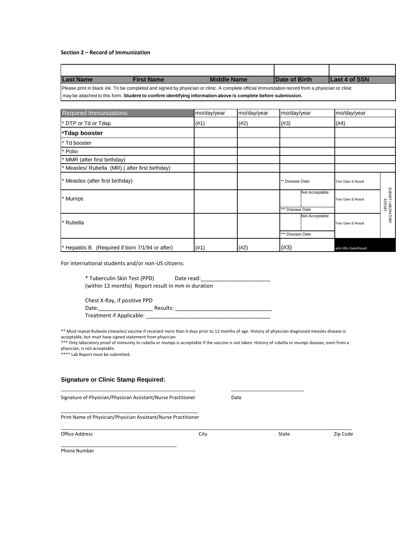## **Section 2 – Record of Immunization**

| <b>Last Name</b>                                                                                                                                 | <b>First Name</b> | <b>Middle Name</b> | <b>IDate of Birth</b> | <b>Last 4 of SSN</b> |  |
|--------------------------------------------------------------------------------------------------------------------------------------------------|-------------------|--------------------|-----------------------|----------------------|--|
| Please print in black ink. To be completed and signed by physician or clinic. A complete official immunization record from a physician or clinic |                   |                    |                       |                      |  |
| I may be attached to this form. Student to confirm identifying information above is complete before submission.                                  |                   |                    |                       |                      |  |

| Required Immunizations                         | mo/day/year | mo/day/year | mo/day/year      | mo/day/year                    |                             |
|------------------------------------------------|-------------|-------------|------------------|--------------------------------|-----------------------------|
| DTP or Td or Tdap                              | (#1)        | (#2)        | (#3)             | (#4)                           |                             |
| *Tdap booster                                  |             |             |                  |                                |                             |
| Td booster                                     |             |             |                  |                                |                             |
| Polio                                          |             |             |                  |                                |                             |
| MMR (after first birthday)                     |             |             |                  |                                |                             |
| Measles/ Rubella (MR) (after first birthday)   |             |             |                  |                                |                             |
| Measles (after first birthday)                 |             |             | ** Disease Date  | <b>Titer Date &amp; Result</b> |                             |
| * Mumps                                        |             |             | Not Acceptable   | <b>Titer Date &amp; Result</b> | SUBMIT LABORATORY<br>REPORT |
|                                                |             |             | *** Disease Date |                                |                             |
| * Rubella                                      |             |             | Not Acceptable   | <b>Titer Date &amp; Result</b> |                             |
|                                                |             |             | *** Disease Date |                                |                             |
| Hepatitis B (Required if born 7/1/94 or after) | (#1)        | (#2)        | (#3)             | anti-HBs Date/Result           |                             |

For international students and/or non-US citizens:

| * Tuberculin Skin Test (PPD)                       | Date read: |  |
|----------------------------------------------------|------------|--|
| (within 12 months) Report result in mm in duration |            |  |

| Chest X-Ray, if positive PPD |          |  |
|------------------------------|----------|--|
| Date:                        | Results: |  |
| Treatment if Applicable:     |          |  |

\_\_\_\_\_\_\_\_\_\_\_\_\_\_\_\_\_\_\_\_\_\_\_\_\_\_\_\_\_\_\_\_\_\_\_\_\_\_\_\_\_\_\_\_\_\_\_\_\_\_ \_\_\_\_\_\_\_\_\_\_\_\_\_\_\_\_\_\_\_\_\_\_\_\_\_\_\_

\*\* Must repeat Rubeola (measles) vaccine if received more than 4 days prior to 12 months of age. History of physician-diagnosed measles disease is acceptable, but must have signed statement from physician.

\*\*\* Only laboratory proof of immunity to rubella or mumps is acceptable if the vaccine is not taken. History of rubella or mumps disease, even from a physician, is not acceptable.

\*\*\*\* Lab Report must be submitted.

# **Signature or Clinic Stamp Required:**

| Signature of Physician/Physician Assistant/Nurse Practitioner |  |  |  | Date |
|---------------------------------------------------------------|--|--|--|------|
|---------------------------------------------------------------|--|--|--|------|

\_\_\_\_\_\_\_\_\_\_\_\_\_\_\_\_\_\_\_\_\_\_\_\_\_\_\_\_\_\_\_\_\_\_\_\_\_\_\_\_\_\_\_

\_\_\_\_\_\_\_\_\_\_\_\_\_\_\_\_\_\_\_\_\_\_\_\_\_\_\_\_\_\_\_\_\_\_\_\_\_\_\_\_\_\_\_\_\_\_\_\_\_\_\_ Print Name of Physician/Physician Assistant/Nurse Practitioner

| Office Address | .itv | State | --<br>Zip Code |
|----------------|------|-------|----------------|
|                |      |       |                |

\_\_\_\_\_\_\_\_\_\_\_\_\_\_\_\_\_\_\_\_\_\_\_\_\_\_\_\_\_\_\_\_\_\_\_\_\_\_\_\_\_\_\_\_\_\_\_\_\_\_\_\_\_\_\_\_\_\_\_\_\_\_\_\_\_\_\_\_\_\_\_\_\_\_\_\_\_\_\_\_\_\_\_\_\_\_\_\_\_\_\_\_\_\_\_\_\_\_\_\_\_\_\_\_\_\_\_\_

Phone Number